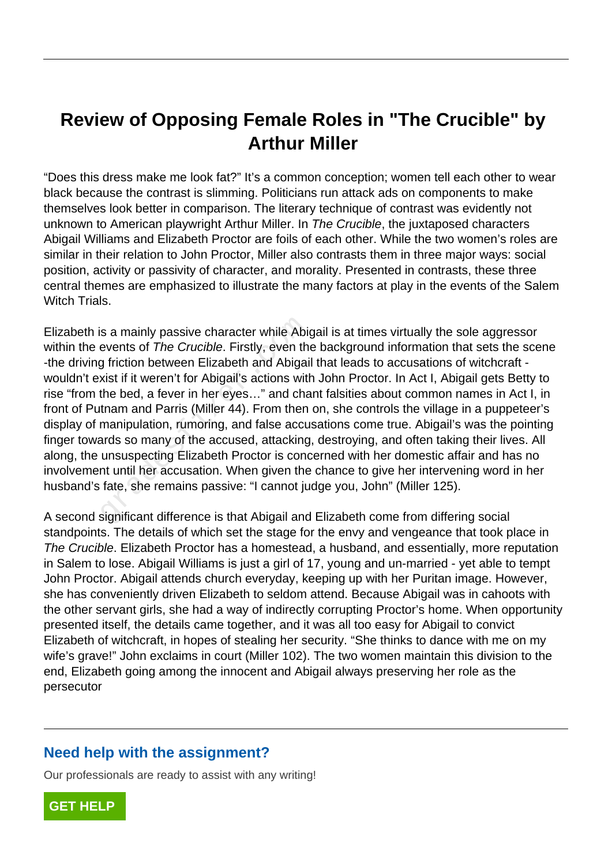## **Review of Opposing Female Roles in "The Crucible" by Arthur Miller**

"Does this dress make me look fat?" It's a common conception; women tell each other to wear black because the contrast is slimming. Politicians run attack ads on components to make themselves look better in comparison. The literary technique of contrast was evidently not unknown to American playwright Arthur Miller. In The Crucible, the juxtaposed characters Abigail Williams and Elizabeth Proctor are foils of each other. While the two women's roles are similar in their relation to John Proctor, Miller also contrasts them in three major ways: social position, activity or passivity of character, and morality. Presented in contrasts, these three central themes are emphasized to illustrate the many factors at play in the events of the Salem Witch Trials

Elizabeth is a mainly passive character while Abigail is at times virtually the sole aggressor within the events of The Crucible. Firstly, even the background information that sets the scene -the driving friction between Elizabeth and Abigail that leads to accusations of witchcraft wouldn't exist if it weren't for Abigail's actions with John Proctor. In Act I, Abigail gets Betty to rise "from the bed, a fever in her eyes…" and chant falsities about common names in Act I, in front of Putnam and Parris (Miller 44). From then on, she controls the village in a puppeteer's display of manipulation, rumoring, and false accusations come true. Abigail's was the pointing finger towards so many of the accused, attacking, destroying, and often taking their lives. All along, the unsuspecting Elizabeth Proctor is concerned with her domestic affair and has no involvement until her accusation. When given the chance to give her intervening word in her husband's fate, she remains passive: "I cannot judge you, John" (Miller 125). s a mainly passive character while Abigevents of *The Crucible*. Firstly, even the grition between Elizabeth and Abigai wist if it weren't for Abigail's actions with the bed, a fever in her eyes..." and chand manipulation,

A second significant difference is that Abigail and Elizabeth come from differing social standpoints. The details of which set the stage for the envy and vengeance that took place in The Crucible. Elizabeth Proctor has a homestead, a husband, and essentially, more reputation in Salem to lose. Abigail Williams is just a girl of 17, young and un-married - yet able to tempt John Proctor. Abigail attends church everyday, keeping up with her Puritan image. However, she has conveniently driven Elizabeth to seldom attend. Because Abigail was in cahoots with the other servant girls, she had a way of indirectly corrupting Proctor's home. When opportunity presented itself, the details came together, and it was all too easy for Abigail to convict Elizabeth of witchcraft, in hopes of stealing her security. "She thinks to dance with me on my wife's grave!" John exclaims in court (Miller 102). The two women maintain this division to the end, Elizabeth going among the innocent and Abigail always preserving her role as the persecutor

## **Need help with the assignment?**

Our professionals are ready to assist with any writing!

**[GET HELP](https://my.gradesfixer.com/order?utm_campaign=pdf_sample)**